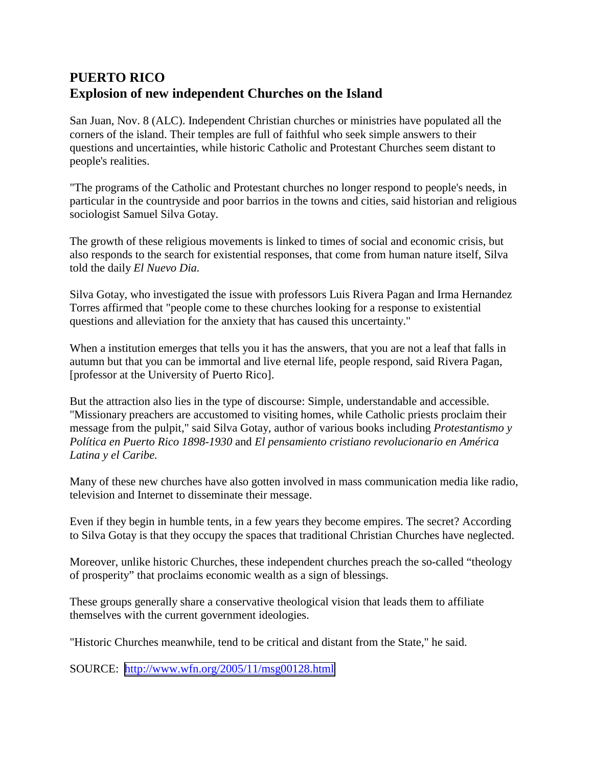## **PUERTO RICO Explosion of new independent Churches on the Island**

San Juan, Nov. 8 (ALC). Independent Christian churches or ministries have populated all the corners of the island. Their temples are full of faithful who seek simple answers to their questions and uncertainties, while historic Catholic and Protestant Churches seem distant to people's realities.

"The programs of the Catholic and Protestant churches no longer respond to people's needs, in particular in the countryside and poor barrios in the towns and cities, said historian and religious sociologist Samuel Silva Gotay.

The growth of these religious movements is linked to times of social and economic crisis, but also responds to the search for existential responses, that come from human nature itself, Silva told the daily *El Nuevo Dia.*

Silva Gotay, who investigated the issue with professors Luis Rivera Pagan and Irma Hernandez Torres affirmed that "people come to these churches looking for a response to existential questions and alleviation for the anxiety that has caused this uncertainty."

When a institution emerges that tells you it has the answers, that you are not a leaf that falls in autumn but that you can be immortal and live eternal life, people respond, said Rivera Pagan, [professor at the University of Puerto Rico].

But the attraction also lies in the type of discourse: Simple, understandable and accessible. "Missionary preachers are accustomed to visiting homes, while Catholic priests proclaim their message from the pulpit," said Silva Gotay, author of various books including *Protestantismo y Política en Puerto Rico 1898-1930* and *El pensamiento cristiano revolucionario en América Latina y el Caribe.*

Many of these new churches have also gotten involved in mass communication media like radio, television and Internet to disseminate their message.

Even if they begin in humble tents, in a few years they become empires. The secret? According to Silva Gotay is that they occupy the spaces that traditional Christian Churches have neglected.

Moreover, unlike historic Churches, these independent churches preach the so-called "theology of prosperity" that proclaims economic wealth as a sign of blessings.

These groups generally share a conservative theological vision that leads them to affiliate themselves with the current government ideologies.

"Historic Churches meanwhile, tend to be critical and distant from the State," he said.

SOURCE: <http://www.wfn.org/2005/11/msg00128.html>